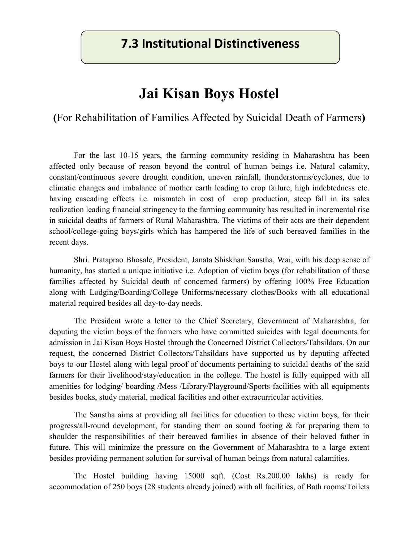## **7.3 Institutional Distinctiveness**

## **Jai Kisan Boys Hostel**

**(**For Rehabilitation of Families Affected by Suicidal Death of Farmers**)** 

For the last 10-15 years, the farming community residing in Maharashtra has been affected only because of reason beyond the control of human beings i.e. Natural calamity, constant/continuous severe drought condition, uneven rainfall, thunderstorms/cyclones, due to climatic changes and imbalance of mother earth leading to crop failure, high indebtedness etc. having cascading effects i.e. mismatch in cost of crop production, steep fall in its sales realization leading financial stringency to the farming community has resulted in incremental rise in suicidal deaths of farmers of Rural Maharashtra. The victims of their acts are their dependent school/college-going boys/girls which has hampered the life of such bereaved families in the recent days.

Shri. Prataprao Bhosale, President, Janata Shiskhan Sanstha, Wai, with his deep sense of humanity, has started a unique initiative i.e. Adoption of victim boys (for rehabilitation of those families affected by Suicidal death of concerned farmers) by offering 100% Free Education along with Lodging/Boarding/College Uniforms/necessary clothes/Books with all educational material required besides all day-to-day needs.

The President wrote a letter to the Chief Secretary, Government of Maharashtra, for deputing the victim boys of the farmers who have committed suicides with legal documents for admission in Jai Kisan Boys Hostel through the Concerned District Collectors/Tahsildars. On our request, the concerned District Collectors/Tahsildars have supported us by deputing affected boys to our Hostel along with legal proof of documents pertaining to suicidal deaths of the said farmers for their livelihood/stay/education in the college. The hostel is fully equipped with all amenities for lodging/ boarding /Mess /Library/Playground/Sports facilities with all equipments besides books, study material, medical facilities and other extracurricular activities.

The Sanstha aims at providing all facilities for education to these victim boys, for their progress/all-round development, for standing them on sound footing & for preparing them to shoulder the responsibilities of their bereaved families in absence of their beloved father in future. This will minimize the pressure on the Government of Maharashtra to a large extent besides providing permanent solution for survival of human beings from natural calamities.

The Hostel building having 15000 sqft. (Cost Rs.200.00 lakhs) is ready for accommodation of 250 boys (28 students already joined) with all facilities, of Bath rooms/Toilets